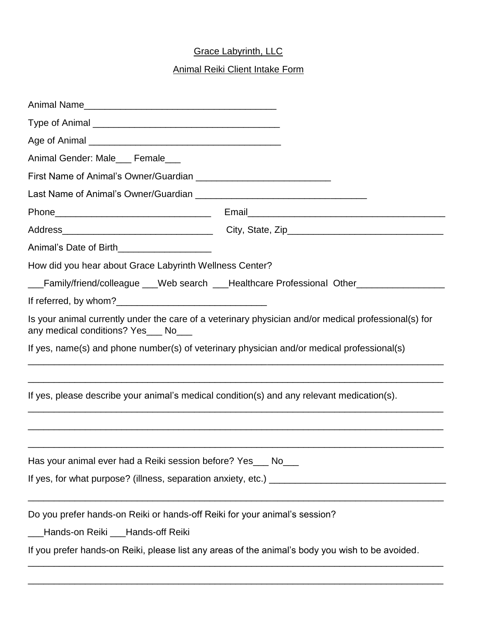## Grace Labyrinth, LLC

## Animal Reiki Client Intake Form

| Animal Gender: Male___ Female___                                                                                                             |                                                                                  |
|----------------------------------------------------------------------------------------------------------------------------------------------|----------------------------------------------------------------------------------|
| First Name of Animal's Owner/Guardian                                                                                                        |                                                                                  |
|                                                                                                                                              |                                                                                  |
|                                                                                                                                              |                                                                                  |
|                                                                                                                                              |                                                                                  |
| Animal's Date of Birth______________________                                                                                                 |                                                                                  |
| How did you hear about Grace Labyrinth Wellness Center?                                                                                      |                                                                                  |
|                                                                                                                                              | Family/friend/colleague ___Web search ___Healthcare Professional Other__________ |
|                                                                                                                                              |                                                                                  |
| Is your animal currently under the care of a veterinary physician and/or medical professional(s) for<br>any medical conditions? Yes___ No___ |                                                                                  |
| If yes, name(s) and phone number(s) of veterinary physician and/or medical professional(s)                                                   |                                                                                  |
| If yes, please describe your animal's medical condition(s) and any relevant medication(s).                                                   |                                                                                  |
| Has your animal ever had a Reiki session before? Yes___ No___                                                                                |                                                                                  |
|                                                                                                                                              |                                                                                  |
| Do you prefer hands-on Reiki or hands-off Reiki for your animal's session?                                                                   |                                                                                  |
| Hands-on Reiki Hands-off Reiki                                                                                                               |                                                                                  |
| If you prefer hands-on Reiki, please list any areas of the animal's body you wish to be avoided.                                             |                                                                                  |
|                                                                                                                                              |                                                                                  |